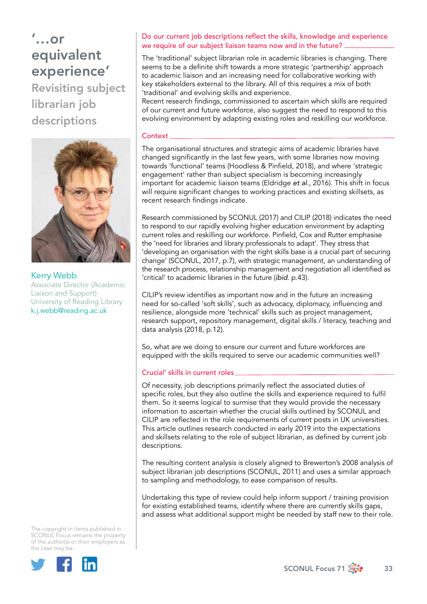# '…or equivalent experience'

Revisiting subject librarian job descriptions



Kerry Webb Associate Director (Academic Liaison and Support) University of Reading Library [k.j.webb@reading.ac.uk](mailto:k.j.webb%40reading.ac.uk?subject=)

The copyright in items published in SCONUL Focus remains the property of the author(s) or their employers as the case may be.



### Do our current job descriptions reflect the skills, knowledge and experience we require of our subject liaison teams now and in the future?

The 'traditional' subject librarian role in academic libraries is changing. There seems to be a definite shift towards a more strategic 'partnership' approach to academic liaison and an increasing need for collaborative working with key stakeholders external to the library. All of this requires a mix of both 'traditional' and evolving skills and experience.

Recent research findings, commissioned to ascertain which skills are required of our current and future workforce, also suggest the need to respond to this evolving environment by adapting existing roles and reskilling our workforce.

#### Context

The organisational structures and strategic aims of academic libraries have changed significantly in the last few years, with some libraries now moving towards 'functional' teams (Hoodless & Pinfield, 2018), and where 'strategic engagement' rather than subject specialism is becoming increasingly important for academic liaison teams (Eldridge *et al*., 2016). This shift in focus will require significant changes to working practices and existing skillsets, as recent research findings indicate.

Research commissioned by SCONUL (2017) and CILIP (2018) indicates the need to respond to our rapidly evolving higher education environment by adapting current roles and reskilling our workforce. Pinfield, Cox and Rutter emphasise the 'need for libraries and library professionals to adapt'. They stress that 'developing an organisation with the right skills base is a crucial part of securing change' (SCONUL, 2017, p.7), with strategic management, an understanding of the research process, relationship management and negotiation all identified as 'critical' to academic libraries in the future (*ibid*. p.43).

CILIP's review identifies as important now and in the future an increasing need for so-called 'soft skills', such as advocacy, diplomacy, influencing and resilience, alongside more 'technical' skills such as project management, research support, repository management, digital skills / literacy, teaching and data analysis (2018, p.12).

So, what are we doing to ensure our current and future workforces are equipped with the skills required to serve our academic communities well?

### Crucial' skills in current roles

Of necessity, job descriptions primarily reflect the associated duties of specific roles, but they also outline the skills and experience required to fulfil them. So it seems logical to surmise that they would provide the necessary information to ascertain whether the crucial skills outlined by SCONUL and CILIP are reflected in the role requirements of current posts in UK universities. This article outlines research conducted in early 2019 into the expectations and skillsets relating to the role of subject librarian, as defined by current job descriptions.

The resulting content analysis is closely aligned to Brewerton's 2008 analysis of subject librarian job descriptions (SCONUL, 2011) and uses a similar approach to sampling and methodology, to ease comparison of results.

Undertaking this type of review could help inform support / training provision for existing established teams, identify where there are currently skills gaps, and assess what additional support might be needed by staff new to their role.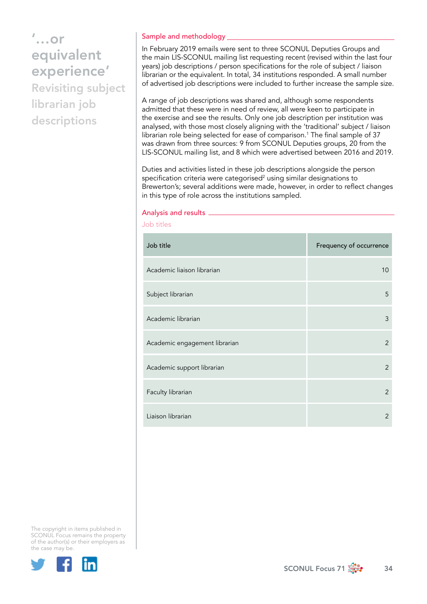#### Sample and methodology

In February 2019 emails were sent to three SCONUL Deputies Groups and the main LIS-SCONUL mailing list requesting recent (revised within the last four years) job descriptions / person specifications for the role of subject / liaison librarian or the equivalent. In total, 34 institutions responded. A small number of advertised job descriptions were included to further increase the sample size.

A range of job descriptions was shared and, although some respondents admitted that these were in need of review, all were keen to participate in the exercise and see the results. Only one job description per institution was analysed, with those most closely aligning with the 'traditional' subject / liaison librarian role being selected for ease of comparison.<sup>1</sup> The final sample of 37 was drawn from three sources: 9 from SCONUL Deputies groups, 20 from the LIS-SCONUL mailing list, and 8 which were advertised between 2016 and 2019.

Duties and activities listed in these job descriptions alongside the person specification criteria were categorised $^2$  using similar designations to Brewerton's; several additions were made, however, in order to reflect changes in this type of role across the institutions sampled.

#### Analysis and results

| Job titles                    |                         |
|-------------------------------|-------------------------|
| Job title                     | Frequency of occurrence |
| Academic liaison librarian    | 10                      |
| Subject librarian             | 5                       |
| Academic librarian            | 3                       |
| Academic engagement librarian | 2                       |
| Academic support librarian    | $\mathcal{P}$           |
| Faculty librarian             | 2                       |
| Liaison librarian             | 2                       |



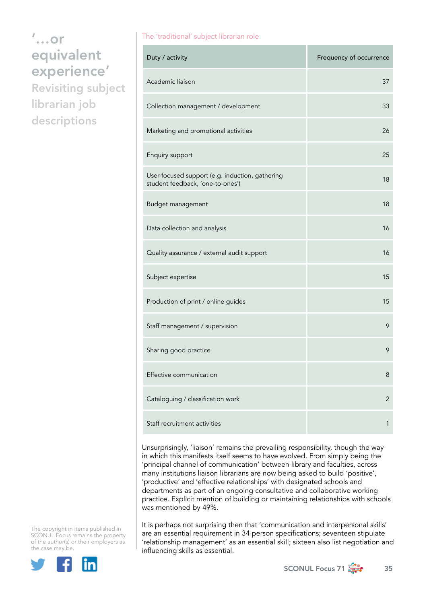The 'traditional' subject librarian role

| Duty / activity                                                                     | Frequency of occurrence |
|-------------------------------------------------------------------------------------|-------------------------|
| Academic liaison                                                                    | 37                      |
| Collection management / development                                                 | 33                      |
| Marketing and promotional activities                                                | 26                      |
| Enquiry support                                                                     | 25                      |
| User-focused support (e.g. induction, gathering<br>student feedback, 'one-to-ones') | 18                      |
| Budget management                                                                   | 18                      |
| Data collection and analysis                                                        | 16                      |
| Quality assurance / external audit support                                          | 16                      |
| Subject expertise                                                                   | 15                      |
| Production of print / online guides                                                 | 15                      |
| Staff management / supervision                                                      | 9                       |
| Sharing good practice                                                               | 9                       |
| Effective communication                                                             | 8                       |
| Cataloguing / classification work                                                   | $\overline{c}$          |
| Staff recruitment activities                                                        | 1                       |

Unsurprisingly, 'liaison' remains the prevailing responsibility, though the way in which this manifests itself seems to have evolved. From simply being the 'principal channel of communication' between library and faculties, across many institutions liaison librarians are now being asked to build 'positive', 'productive' and 'effective relationships' with designated schools and departments as part of an ongoing consultative and collaborative working practice. Explicit mention of building or maintaining relationships with schools was mentioned by 49%.

It is perhaps not surprising then that 'communication and interpersonal skills' are an essential requirement in 34 person specifications; seventeen stipulate 'relationship management' as an essential skill; sixteen also list negotiation and influencing skills as essential.



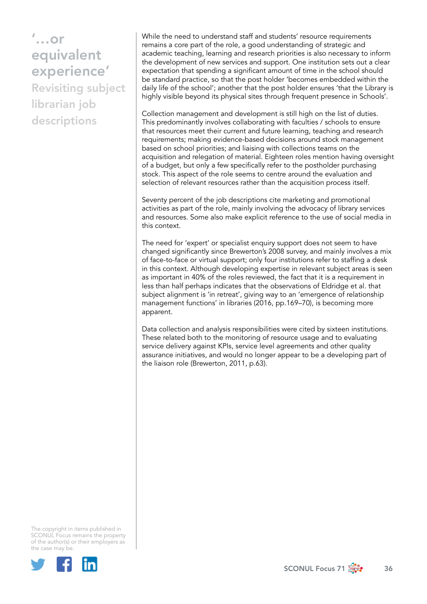While the need to understand staff and students' resource requirements remains a core part of the role, a good understanding of strategic and academic teaching, learning and research priorities is also necessary to inform the development of new services and support. One institution sets out a clear expectation that spending a significant amount of time in the school should be standard practice, so that the post holder 'becomes embedded within the daily life of the school'; another that the post holder ensures 'that the Library is highly visible beyond its physical sites through frequent presence in Schools'.

Collection management and development is still high on the list of duties. This predominantly involves collaborating with faculties / schools to ensure that resources meet their current and future learning, teaching and research requirements; making evidence-based decisions around stock management based on school priorities; and liaising with collections teams on the acquisition and relegation of material. Eighteen roles mention having oversight of a budget, but only a few specifically refer to the postholder purchasing stock. This aspect of the role seems to centre around the evaluation and selection of relevant resources rather than the acquisition process itself.

Seventy percent of the job descriptions cite marketing and promotional activities as part of the role, mainly involving the advocacy of library services and resources. Some also make explicit reference to the use of social media in this context.

The need for 'expert' or specialist enquiry support does not seem to have changed significantly since Brewerton's 2008 survey, and mainly involves a mix of face-to-face or virtual support; only four institutions refer to staffing a desk in this context. Although developing expertise in relevant subject areas is seen as important in 40% of the roles reviewed, the fact that it is a requirement in less than half perhaps indicates that the observations of Eldridge et al. that subject alignment is 'in retreat', giving way to an 'emergence of relationship management functions' in libraries (2016, pp.169–70), is becoming more apparent.

Data collection and analysis responsibilities were cited by sixteen institutions. These related both to the monitoring of resource usage and to evaluating service delivery against KPIs, service level agreements and other quality assurance initiatives, and would no longer appear to be a developing part of the liaison role (Brewerton, 2011, p.63).



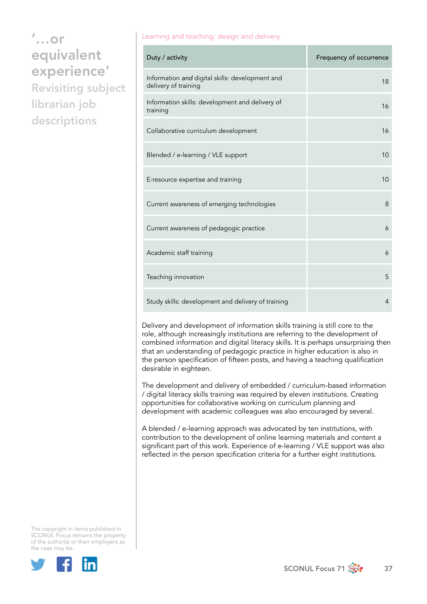descriptions

#### Learning and teaching: design and delivery

| Duty / activity                                                         | Frequency of occurrence |
|-------------------------------------------------------------------------|-------------------------|
| Information and digital skills: development and<br>delivery of training | 18                      |
| Information skills: development and delivery of<br>training             | 16                      |
| Collaborative curriculum development                                    | 16                      |
| Blended / e-learning / VLE support                                      | 10                      |
| E-resource expertise and training                                       | 10                      |
| Current awareness of emerging technologies                              | 8                       |
| Current awareness of pedagogic practice                                 | 6                       |
| Academic staff training                                                 | 6                       |
| Teaching innovation                                                     | 5                       |
| Study skills: development and delivery of training                      | 4                       |

Delivery and development of information skills training is still core to the role, although increasingly institutions are referring to the development of combined information and digital literacy skills. It is perhaps unsurprising then that an understanding of pedagogic practice in higher education is also in the person specification of fifteen posts, and having a teaching qualification desirable in eighteen.

The development and delivery of embedded / curriculum-based information / digital literacy skills training was required by eleven institutions. Creating opportunities for collaborative working on curriculum planning and development with academic colleagues was also encouraged by several.

A blended / e-learning approach was advocated by ten institutions, with contribution to the development of online learning materials and content a significant part of this work. Experience of e-learning / VLE support was also reflected in the person specification criteria for a further eight institutions.



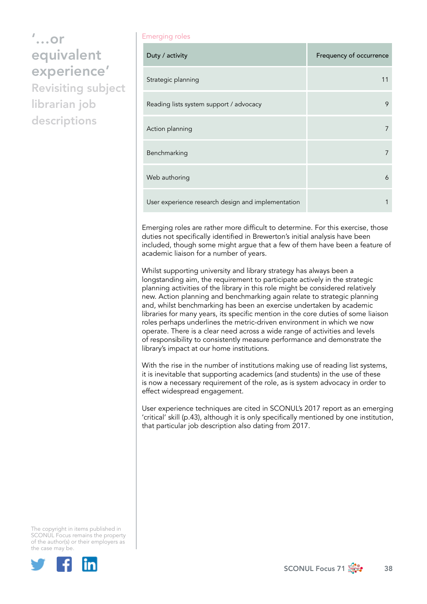#### Emerging roles

| Duty / activity                                    | Frequency of occurrence |
|----------------------------------------------------|-------------------------|
| Strategic planning                                 | 11                      |
| Reading lists system support / advocacy            | 9                       |
| Action planning                                    |                         |
| Benchmarking                                       | 7                       |
| Web authoring                                      | 6                       |
| User experience research design and implementation |                         |

Emerging roles are rather more difficult to determine. For this exercise, those duties not specifically identified in Brewerton's initial analysis have been included, though some might argue that a few of them have been a feature of academic liaison for a number of years.

Whilst supporting university and library strategy has always been a longstanding aim, the requirement to participate actively in the strategic planning activities of the library in this role might be considered relatively new. Action planning and benchmarking again relate to strategic planning and, whilst benchmarking has been an exercise undertaken by academic libraries for many years, its specific mention in the core duties of some liaison roles perhaps underlines the metric-driven environment in which we now operate. There is a clear need across a wide range of activities and levels of responsibility to consistently measure performance and demonstrate the library's impact at our home institutions.

With the rise in the number of institutions making use of reading list systems, it is inevitable that supporting academics (and students) in the use of these is now a necessary requirement of the role, as is system advocacy in order to effect widespread engagement.

User experience techniques are cited in SCONUL's 2017 report as an emerging 'critical' skill (p.43), although it is only specifically mentioned by one institution, that particular job description also dating from 2017.



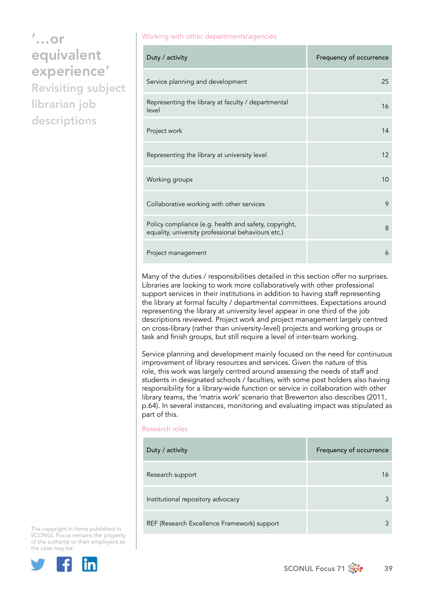Working with other departments/agencies

| Duty / activity                                                                                             | Frequency of occurrence |
|-------------------------------------------------------------------------------------------------------------|-------------------------|
| Service planning and development                                                                            | 25                      |
| Representing the library at faculty / departmental<br>level                                                 | 16                      |
| Project work                                                                                                | 14                      |
| Representing the library at university level                                                                | 12                      |
| Working groups                                                                                              | 10                      |
| Collaborative working with other services                                                                   | 9                       |
| Policy compliance (e.g. health and safety, copyright,<br>equality, university professional behaviours etc.) | 8                       |
| Project management                                                                                          | 6                       |

Many of the duties / responsibilities detailed in this section offer no surprises. Libraries are looking to work more collaboratively with other professional support services in their institutions in addition to having staff representing the library at formal faculty / departmental committees. Expectations around representing the library at university level appear in one third of the job descriptions reviewed. Project work and project management largely centred on cross-library (rather than university-level) projects and working groups or task and finish groups, but still require a level of inter-team working.

Service planning and development mainly focused on the need for continuous improvement of library resources and services. Given the nature of this role, this work was largely centred around assessing the needs of staff and students in designated schools / faculties, with some post holders also having responsibility for a library-wide function or service in collaboration with other library teams, the 'matrix work' scenario that Brewerton also describes (2011, p.64). In several instances, monitoring and evaluating impact was stipulated as part of this.

#### Research roles

| Duty / activity                             | Frequency of occurrence |
|---------------------------------------------|-------------------------|
| Research support                            | 16                      |
| Institutional repository advocacy           |                         |
| REF (Research Excellence Framework) support |                         |



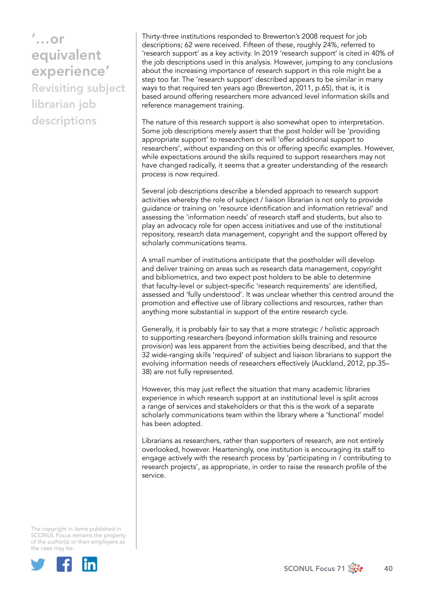Thirty-three institutions responded to Brewerton's 2008 request for job descriptions; 62 were received. Fifteen of these, roughly 24%, referred to 'research support' as a key activity. In 2019 'research support' is cited in 40% of the job descriptions used in this analysis. However, jumping to any conclusions about the increasing importance of research support in this role might be a step too far. The 'research support' described appears to be similar in many ways to that required ten years ago (Brewerton, 2011, p.65), that is, it is based around offering researchers more advanced level information skills and reference management training.

The nature of this research support is also somewhat open to interpretation. Some job descriptions merely assert that the post holder will be 'providing appropriate support' to researchers or will 'offer additional support to researchers', without expanding on this or offering specific examples. However, while expectations around the skills required to support researchers may not have changed radically, it seems that a greater understanding of the research process is now required.

Several job descriptions describe a blended approach to research support activities whereby the role of subject / liaison librarian is not only to provide guidance or training on 'resource identification and information retrieval' and assessing the 'information needs' of research staff and students, but also to play an advocacy role for open access initiatives and use of the institutional repository, research data management, copyright and the support offered by scholarly communications teams.

A small number of institutions anticipate that the postholder will develop and deliver training on areas such as research data management, copyright and bibliometrics, and two expect post holders to be able to determine that faculty-level or subject-specific 'research requirements' are identified, assessed and 'fully understood'. It was unclear whether this centred around the promotion and effective use of library collections and resources, rather than anything more substantial in support of the entire research cycle.

Generally, it is probably fair to say that a more strategic / holistic approach to supporting researchers (beyond information skills training and resource provision) was less apparent from the activities being described, and that the 32 wide-ranging skills 'required' of subject and liaison librarians to support the evolving information needs of researchers effectively (Auckland, 2012, pp.35– 38) are not fully represented.

However, this may just reflect the situation that many academic libraries experience in which research support at an institutional level is split across a range of services and stakeholders or that this is the work of a separate scholarly communications team within the library where a 'functional' model has been adopted.

Librarians as researchers, rather than supporters of research, are not entirely overlooked, however. Hearteningly, one institution is encouraging its staff to engage actively with the research process by 'participating in / contributing to research projects', as appropriate, in order to raise the research profile of the service.



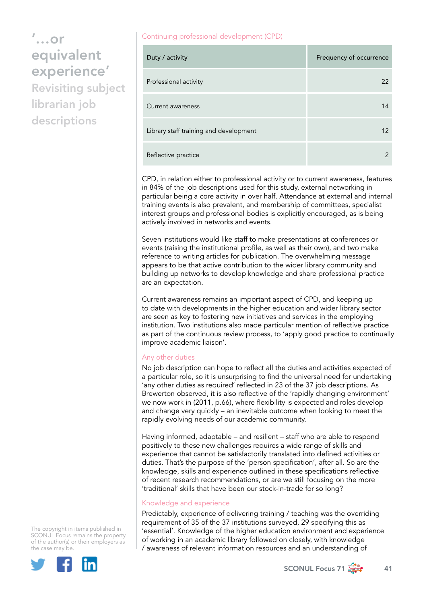descriptions

#### Continuing professional development (CPD)

| Duty / activity                        | Frequency of occurrence |
|----------------------------------------|-------------------------|
| Professional activity                  | 22                      |
| Current awareness                      | 14                      |
| Library staff training and development | $12 \overline{ }$       |
| Reflective practice                    | $\mathcal{P}$           |

CPD, in relation either to professional activity or to current awareness, features in 84% of the job descriptions used for this study, external networking in particular being a core activity in over half. Attendance at external and internal training events is also prevalent, and membership of committees, specialist interest groups and professional bodies is explicitly encouraged, as is being actively involved in networks and events.

Seven institutions would like staff to make presentations at conferences or events (raising the institutional profile, as well as their own), and two make reference to writing articles for publication. The overwhelming message appears to be that active contribution to the wider library community and building up networks to develop knowledge and share professional practice are an expectation.

Current awareness remains an important aspect of CPD, and keeping up to date with developments in the higher education and wider library sector are seen as key to fostering new initiatives and services in the employing institution. Two institutions also made particular mention of reflective practice as part of the continuous review process, to 'apply good practice to continually improve academic liaison'.

### Any other duties

No job description can hope to reflect all the duties and activities expected of a particular role, so it is unsurprising to find the universal need for undertaking 'any other duties as required' reflected in 23 of the 37 job descriptions. As Brewerton observed, it is also reflective of the 'rapidly changing environment' we now work in (2011, p.66), where flexibility is expected and roles develop and change very quickly – an inevitable outcome when looking to meet the rapidly evolving needs of our academic community.

Having informed, adaptable – and resilient – staff who are able to respond positively to these new challenges requires a wide range of skills and experience that cannot be satisfactorily translated into defined activities or duties. That's the purpose of the 'person specification', after all. So are the knowledge, skills and experience outlined in these specifications reflective of recent research recommendations, or are we still focusing on the more 'traditional' skills that have been our stock-in-trade for so long?

### Knowledge and experience

Predictably, experience of delivering training / teaching was the overriding requirement of 35 of the 37 institutions surveyed, 29 specifying this as 'essential'. Knowledge of the higher education environment and experience of working in an academic library followed on closely, with knowledge / awareness of relevant information resources and an understanding of

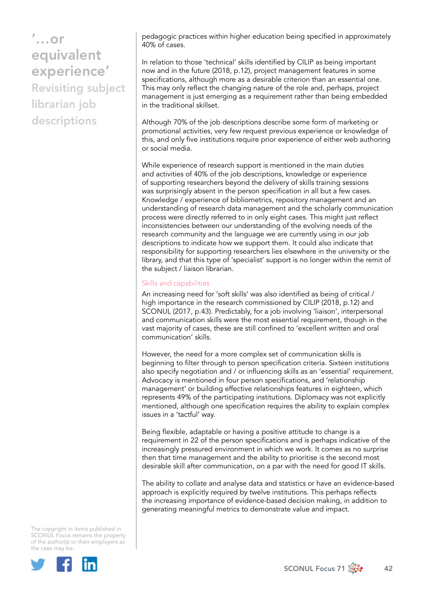pedagogic practices within higher education being specified in approximately 40% of cases.

In relation to those 'technical' skills identified by CILIP as being important now and in the future (2018, p.12), project management features in some specifications, although more as a desirable criterion than an essential one. This may only reflect the changing nature of the role and, perhaps, project management is just emerging as a requirement rather than being embedded in the traditional skillset.

Although 70% of the job descriptions describe some form of marketing or promotional activities, very few request previous experience or knowledge of this, and only five institutions require prior experience of either web authoring or social media.

While experience of research support is mentioned in the main duties and activities of 40% of the job descriptions, knowledge or experience of supporting researchers beyond the delivery of skills training sessions was surprisingly absent in the person specification in all but a few cases. Knowledge / experience of bibliometrics, repository management and an understanding of research data management and the scholarly communication process were directly referred to in only eight cases. This might just reflect inconsistencies between our understanding of the evolving needs of the research community and the language we are currently using in our job descriptions to indicate how we support them. It could also indicate that responsibility for supporting researchers lies elsewhere in the university or the library, and that this type of 'specialist' support is no longer within the remit of the subject / liaison librarian.

#### Skills and capabilities

An increasing need for 'soft skills' was also identified as being of critical / high importance in the research commissioned by CILIP (2018, p.12) and SCONUL (2017, p.43). Predictably, for a job involving 'liaison', interpersonal and communication skills were the most essential requirement, though in the vast majority of cases, these are still confined to 'excellent written and oral communication' skills.

However, the need for a more complex set of communication skills is beginning to filter through to person specification criteria. Sixteen institutions also specify negotiation and / or influencing skills as an 'essential' requirement. Advocacy is mentioned in four person specifications, and 'relationship management' or building effective relationships features in eighteen, which represents 49% of the participating institutions. Diplomacy was not explicitly mentioned, although one specification requires the ability to explain complex issues in a 'tactful' way.

Being flexible, adaptable or having a positive attitude to change is a requirement in 22 of the person specifications and is perhaps indicative of the increasingly pressured environment in which we work. It comes as no surprise then that time management and the ability to prioritise is the second most desirable skill after communication, on a par with the need for good IT skills.

The ability to collate and analyse data and statistics or have an evidence-based approach is explicitly required by twelve institutions. This perhaps reflects the increasing importance of evidence-based decision making, in addition to generating meaningful metrics to demonstrate value and impact.

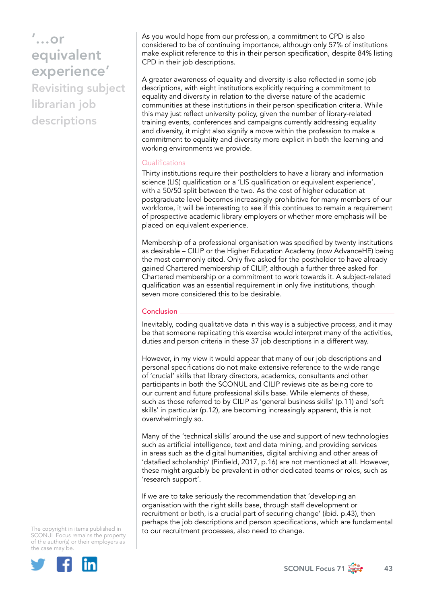As you would hope from our profession, a commitment to CPD is also considered to be of continuing importance, although only 57% of institutions make explicit reference to this in their person specification, despite 84% listing CPD in their job descriptions.

A greater awareness of equality and diversity is also reflected in some job descriptions, with eight institutions explicitly requiring a commitment to equality and diversity in relation to the diverse nature of the academic communities at these institutions in their person specification criteria. While this may just reflect university policy, given the number of library-related training events, conferences and campaigns currently addressing equality and diversity, it might also signify a move within the profession to make a commitment to equality and diversity more explicit in both the learning and working environments we provide.

#### **Qualifications**

Thirty institutions require their postholders to have a library and information science (LIS) qualification or a 'LIS qualification or equivalent experience', with a 50/50 split between the two. As the cost of higher education at postgraduate level becomes increasingly prohibitive for many members of our workforce, it will be interesting to see if this continues to remain a requirement of prospective academic library employers or whether more emphasis will be placed on equivalent experience.

Membership of a professional organisation was specified by twenty institutions as desirable – CILIP or the Higher Education Academy (now AdvanceHE) being the most commonly cited. Only five asked for the postholder to have already gained Chartered membership of CILIP, although a further three asked for Chartered membership or a commitment to work towards it. A subject-related qualification was an essential requirement in only five institutions, though seven more considered this to be desirable.

### **Conclusion**

Inevitably, coding qualitative data in this way is a subjective process, and it may be that someone replicating this exercise would interpret many of the activities, duties and person criteria in these 37 job descriptions in a different way.

However, in my view it would appear that many of our job descriptions and personal specifications do not make extensive reference to the wide range of 'crucial' skills that library directors, academics, consultants and other participants in both the SCONUL and CILIP reviews cite as being core to our current and future professional skills base. While elements of these, such as those referred to by CILIP as 'general business skills' (p.11) and 'soft skills' in particular (p.12), are becoming increasingly apparent, this is not overwhelmingly so.

Many of the 'technical skills' around the use and support of new technologies such as artificial intelligence, text and data mining, and providing services in areas such as the digital humanities, digital archiving and other areas of 'datafied scholarship' (Pinfield, 2017, p.16) are not mentioned at all. However, these might arguably be prevalent in other dedicated teams or roles, such as 'research support'.

If we are to take seriously the recommendation that 'developing an organisation with the right skills base, through staff development or recruitment or both, is a crucial part of securing change' (ibid. p.43), then perhaps the job descriptions and person specifications, which are fundamental to our recruitment processes, also need to change.